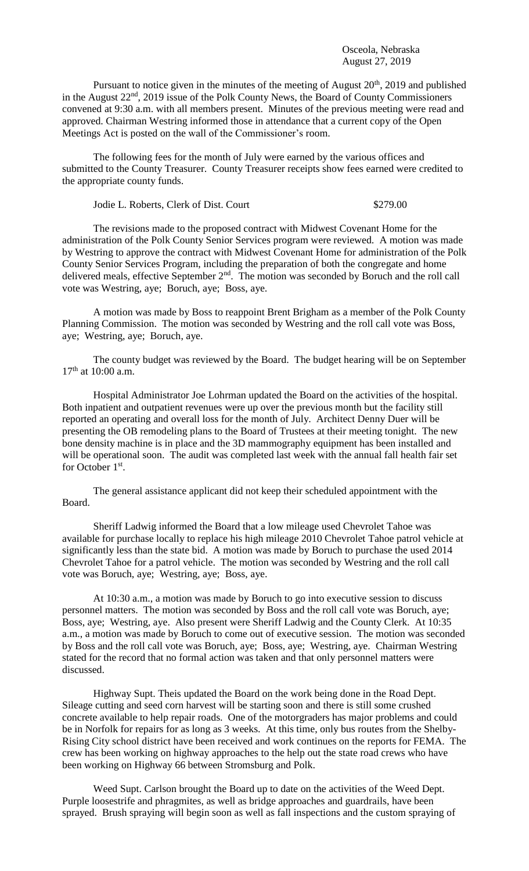Osceola, Nebraska August 27, 2019

Pursuant to notice given in the minutes of the meeting of August 20<sup>th</sup>, 2019 and published in the August 22<sup>nd</sup>, 2019 issue of the Polk County News, the Board of County Commissioners convened at 9:30 a.m. with all members present. Minutes of the previous meeting were read and approved. Chairman Westring informed those in attendance that a current copy of the Open Meetings Act is posted on the wall of the Commissioner's room.

The following fees for the month of July were earned by the various offices and submitted to the County Treasurer. County Treasurer receipts show fees earned were credited to the appropriate county funds.

Jodie L. Roberts, Clerk of Dist. Court \$279.00

The revisions made to the proposed contract with Midwest Covenant Home for the administration of the Polk County Senior Services program were reviewed. A motion was made by Westring to approve the contract with Midwest Covenant Home for administration of the Polk County Senior Services Program, including the preparation of both the congregate and home delivered meals, effective September 2<sup>nd</sup>. The motion was seconded by Boruch and the roll call vote was Westring, aye; Boruch, aye; Boss, aye.

A motion was made by Boss to reappoint Brent Brigham as a member of the Polk County Planning Commission. The motion was seconded by Westring and the roll call vote was Boss, aye; Westring, aye; Boruch, aye.

The county budget was reviewed by the Board. The budget hearing will be on September 17<sup>th</sup> at 10:00 a.m.

Hospital Administrator Joe Lohrman updated the Board on the activities of the hospital. Both inpatient and outpatient revenues were up over the previous month but the facility still reported an operating and overall loss for the month of July. Architect Denny Duer will be presenting the OB remodeling plans to the Board of Trustees at their meeting tonight. The new bone density machine is in place and the 3D mammography equipment has been installed and will be operational soon. The audit was completed last week with the annual fall health fair set for October 1<sup>st</sup>.

The general assistance applicant did not keep their scheduled appointment with the Board.

Sheriff Ladwig informed the Board that a low mileage used Chevrolet Tahoe was available for purchase locally to replace his high mileage 2010 Chevrolet Tahoe patrol vehicle at significantly less than the state bid. A motion was made by Boruch to purchase the used 2014 Chevrolet Tahoe for a patrol vehicle. The motion was seconded by Westring and the roll call vote was Boruch, aye; Westring, aye; Boss, aye.

At 10:30 a.m., a motion was made by Boruch to go into executive session to discuss personnel matters. The motion was seconded by Boss and the roll call vote was Boruch, aye; Boss, aye; Westring, aye. Also present were Sheriff Ladwig and the County Clerk. At 10:35 a.m., a motion was made by Boruch to come out of executive session. The motion was seconded by Boss and the roll call vote was Boruch, aye; Boss, aye; Westring, aye. Chairman Westring stated for the record that no formal action was taken and that only personnel matters were discussed.

Highway Supt. Theis updated the Board on the work being done in the Road Dept. Sileage cutting and seed corn harvest will be starting soon and there is still some crushed concrete available to help repair roads. One of the motorgraders has major problems and could be in Norfolk for repairs for as long as 3 weeks. At this time, only bus routes from the Shelby-Rising City school district have been received and work continues on the reports for FEMA. The crew has been working on highway approaches to the help out the state road crews who have been working on Highway 66 between Stromsburg and Polk.

Weed Supt. Carlson brought the Board up to date on the activities of the Weed Dept. Purple loosestrife and phragmites, as well as bridge approaches and guardrails, have been sprayed. Brush spraying will begin soon as well as fall inspections and the custom spraying of